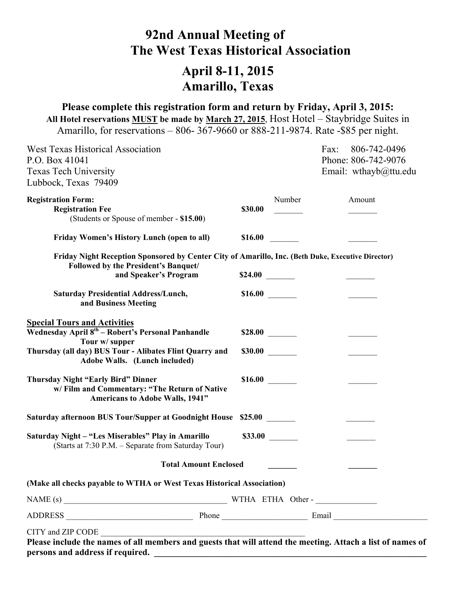# **92nd Annual Meeting of The West Texas Historical Association**

# **April 8-11, 2015 Amarillo, Texas**

**Please complete this registration form and return by Friday, April 3, 2015: All Hotel reservations MUST be made by March 27, 2015**, Host Hotel – Staybridge Suites in Amarillo, for reservations – 806- 367-9660 or 888-211-9874. Rate -\$85 per night.

| <b>West Texas Historical Association</b><br>P.O. Box 41041<br><b>Texas Tech University</b><br>Lubbock, Texas 79409                                                                                                                                                                                                                                                                                                                                                        |         |         | Fax: | 806-742-0496<br>Phone: 806-742-9076<br>Email: wthayb@ttu.edu |
|---------------------------------------------------------------------------------------------------------------------------------------------------------------------------------------------------------------------------------------------------------------------------------------------------------------------------------------------------------------------------------------------------------------------------------------------------------------------------|---------|---------|------|--------------------------------------------------------------|
| <b>Registration Form:</b><br><b>Registration Fee</b><br>(Students or Spouse of member - \$15.00)                                                                                                                                                                                                                                                                                                                                                                          | \$30.00 | Number  |      | Amount                                                       |
| <b>Friday Women's History Lunch (open to all)</b>                                                                                                                                                                                                                                                                                                                                                                                                                         | \$16.00 |         |      |                                                              |
| Friday Night Reception Sponsored by Center City of Amarillo, Inc. (Beth Duke, Executive Director)<br>Followed by the President's Banquet/                                                                                                                                                                                                                                                                                                                                 |         |         |      |                                                              |
| and Speaker's Program                                                                                                                                                                                                                                                                                                                                                                                                                                                     |         |         |      |                                                              |
| <b>Saturday Presidential Address/Lunch,</b><br>and Business Meeting                                                                                                                                                                                                                                                                                                                                                                                                       | \$16.00 |         |      |                                                              |
| <b>Special Tours and Activities</b><br>Wednesday April 8 <sup>th</sup> - Robert's Personal Panhandle<br>Tour w/ supper                                                                                                                                                                                                                                                                                                                                                    |         |         |      |                                                              |
| Thursday (all day) BUS Tour - Alibates Flint Quarry and<br>Adobe Walls. (Lunch included)                                                                                                                                                                                                                                                                                                                                                                                  | \$30.00 |         |      |                                                              |
| <b>Thursday Night "Early Bird" Dinner</b><br>w/Film and Commentary: "The Return of Native<br><b>Americans to Adobe Walls, 1941"</b>                                                                                                                                                                                                                                                                                                                                       |         |         |      |                                                              |
| Saturday afternoon BUS Tour/Supper at Goodnight House \$25.00                                                                                                                                                                                                                                                                                                                                                                                                             |         |         |      |                                                              |
| Saturday Night - "Les Miserables" Play in Amarillo<br>(Starts at 7:30 P.M. – Separate from Saturday Tour)                                                                                                                                                                                                                                                                                                                                                                 |         | \$33.00 |      |                                                              |
| <b>Total Amount Enclosed</b>                                                                                                                                                                                                                                                                                                                                                                                                                                              |         |         |      |                                                              |
| (Make all checks payable to WTHA or West Texas Historical Association)                                                                                                                                                                                                                                                                                                                                                                                                    |         |         |      |                                                              |
| NAME (s) $\qquad \qquad \qquad \qquad \qquad \qquad \qquad \qquad \qquad \qquad \text{WTHA ETHA Other -}\qquad \qquad \qquad \qquad \qquad \text{WTHA ETHA Other -}\qquad \qquad \qquad \text{WTHA ETHA Other -}\qquad \qquad \qquad \text{WTHA ETHA Other -}\qquad \qquad \text{WTHA ETHA Other -}\qquad \qquad \text{WTHA ETHA Other -}\qquad \qquad \text{WTHA ETHA Other -}\qquad \qquad \text{WTHA ETHA Other -}\qquad \qquad \text{WTHA ETHA Other -}\qquad \qquad$ |         |         |      |                                                              |
|                                                                                                                                                                                                                                                                                                                                                                                                                                                                           |         |         |      |                                                              |
| Please include the names of all members and guests that will attend the meeting. Attach a list of names of<br>persons and address if required.                                                                                                                                                                                                                                                                                                                            |         |         |      |                                                              |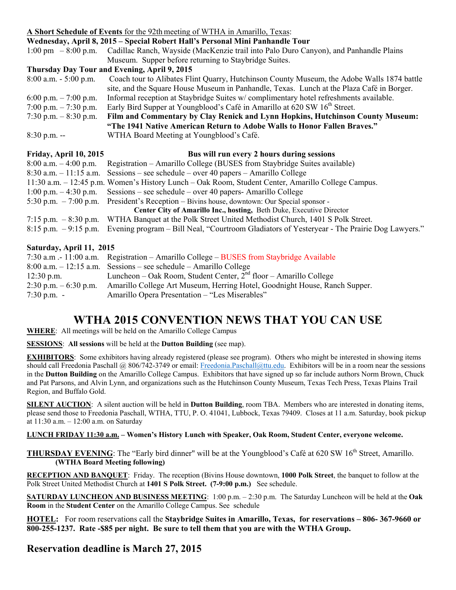## **A Short Schedule of Events** for the 92th meeting of WTHA in Amarillo, Texas:

| Wednesday, April 8, 2015 – Special Robert Hall's Personal Mini Panhandle Tour                      |
|----------------------------------------------------------------------------------------------------|
| Cadillac Ranch, Wayside (MacKenzie trail into Palo Duro Canyon), and Panhandle Plains              |
| Museum. Supper before returning to Staybridge Suites.                                              |
| Thursday Day Tour and Evening, April 9, 2015                                                       |
| Coach tour to Alibates Flint Quarry, Hutchinson County Museum, the Adobe Walls 1874 battle         |
| site, and the Square House Museum in Panhandle, Texas. Lunch at the Plaza Café in Borger.          |
| Informal reception at Staybridge Suites w/complimentary hotel refreshments available.              |
| Early Bird Supper at Youngblood's Café in Amarillo at 620 SW 16 <sup>th</sup> Street.              |
| Film and Commentary by Clay Renick and Lynn Hopkins, Hutchinson County Museum:                     |
| "The 1941 Native American Return to Adobe Walls to Honor Fallen Braves."                           |
| WTHA Board Meeting at Youngblood's Café.                                                           |
| Bus will run every 2 hours during sessions                                                         |
| Registration – Amarillo College (BUSES from Staybridge Suites available)                           |
| Sessions – see schedule – over 40 papers – Amarillo College                                        |
| 11:30 a.m. – 12:45 p.m. Women's History Lunch – Oak Room, Student Center, Amarillo College Campus. |
| $S$ essions – see schedule – over 40 papers- Amarillo College                                      |
| President's Reception – Bivins house, downtown: Our Special sponsor -                              |
| Center City of Amarillo Inc., hosting, Beth Duke, Executive Director                               |
| WTHA Banquet at the Polk Street United Methodist Church, 1401 S Polk Street.                       |
| Evening program – Bill Neal, "Courtroom Gladiators of Yesteryear - The Prairie Dog Lawyers."       |
| Friday, April 10, 2015                                                                             |

#### **Saturday, April 11, 2015**

|                          | 7:30 a.m. - 11:00 a.m. Registration – Amarillo College – BUSES from Staybridge Available |
|--------------------------|------------------------------------------------------------------------------------------|
|                          | $8:00$ a.m. $-12:15$ a.m. Sessions – see schedule – Amarillo College                     |
| $12:30$ p.m.             | Luncheon – Oak Room, Student Center, $2nd$ floor – Amarillo College                      |
| $2:30$ p.m. $-6:30$ p.m. | Amarillo College Art Museum, Herring Hotel, Goodnight House, Ranch Supper.               |
| $7:30$ p.m. -            | Amarillo Opera Presentation – "Les Miserables"                                           |

## **WTHA 2015 CONVENTION NEWS THAT YOU CAN USE**

**WHERE**: All meetings will be held on the Amarillo College Campus

**SESSIONS**: **All sessions** will be held at the **Dutton Building** (see map).

**EXHIBITORS**: Some exhibitors having already registered (please see program). Others who might be interested in showing items should call Freedonia Paschall @ 806/742-3749 or email: Freedonia.Paschall@ttu.edu. Exhibitors will be in a room near the sessions in the **Dutton Building** on the Amarillo College Campus. Exhibitors that have signed up so far include authors Norm Brown, Chuck and Pat Parsons, and Alvin Lynn, and organizations such as the Hutchinson County Museum, Texas Tech Press, Texas Plains Trail Region, and Buffalo Gold.

**SILENT AUCTION**: A silent auction will be held in **Dutton Building**, room TBA. Members who are interested in donating items, please send those to Freedonia Paschall, WTHA, TTU, P. O. 41041, Lubbock, Texas 79409. Closes at 11 a.m. Saturday, book pickup at 11:30 a.m. – 12:00 a.m. on Saturday

#### **LUNCH FRIDAY 11:30 a.m. – Women's History Lunch with Speaker, Oak Room, Student Center, everyone welcome.**

**THURSDAY EVENING**: The "Early bird dinner" will be at the Youngblood's Café at 620 SW 16<sup>th</sup> Street. Amarillo.  **(WTHA Board Meeting following)** 

**RECEPTION AND BANQUET**: Friday. The reception (Bivins House downtown, **1000 Polk Street**, the banquet to follow at the Polk Street United Methodist Church at **1401 S Polk Street. (7-9:00 p.m.)** See schedule.

**SATURDAY LUNCHEON AND BUSINESS MEETING**: 1:00 p.m. – 2:30 p.m. The Saturday Luncheon will be held at the **Oak Room** in the **Student Center** on the Amarillo College Campus. See schedule

**HOTEL:** For room reservations call the **Staybridge Suites in Amarillo, Texas, for reservations – 806- 367-9660 or 800-255-1237. Rate -\$85 per night. Be sure to tell them that you are with the WTHA Group.** 

## **Reservation deadline is March 27, 2015**